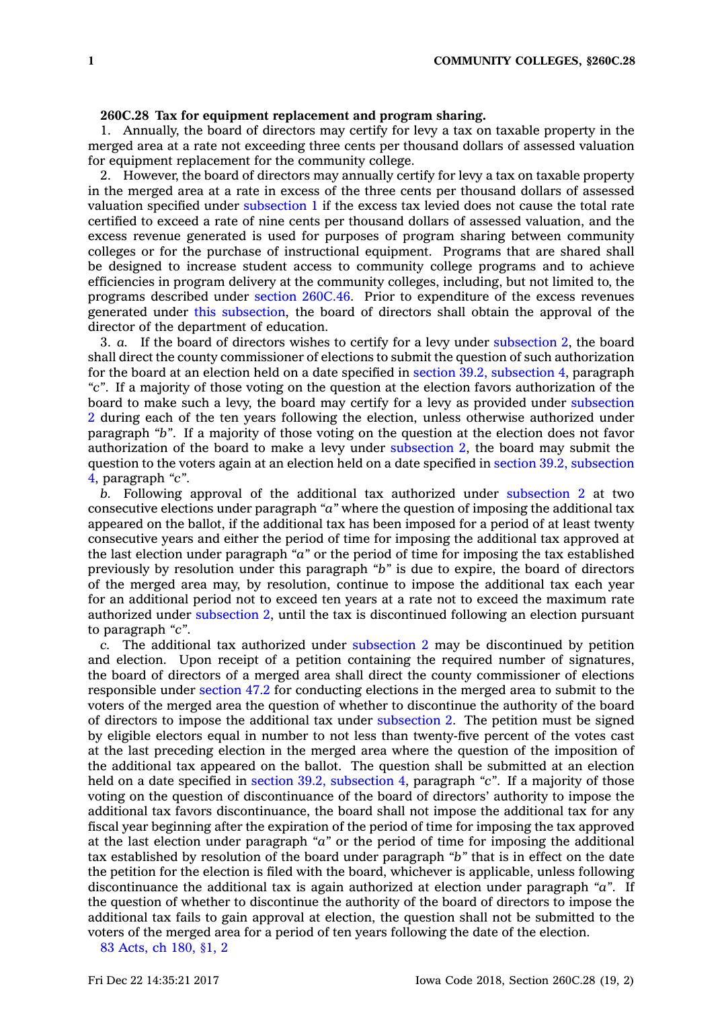## **260C.28 Tax for equipment replacement and program sharing.**

1. Annually, the board of directors may certify for levy <sup>a</sup> tax on taxable property in the merged area at <sup>a</sup> rate not exceeding three cents per thousand dollars of assessed valuation for equipment replacement for the community college.

2. However, the board of directors may annually certify for levy <sup>a</sup> tax on taxable property in the merged area at <sup>a</sup> rate in excess of the three cents per thousand dollars of assessed valuation specified under [subsection](https://www.legis.iowa.gov/docs/code/260C.28.pdf) 1 if the excess tax levied does not cause the total rate certified to exceed <sup>a</sup> rate of nine cents per thousand dollars of assessed valuation, and the excess revenue generated is used for purposes of program sharing between community colleges or for the purchase of instructional equipment. Programs that are shared shall be designed to increase student access to community college programs and to achieve efficiencies in program delivery at the community colleges, including, but not limited to, the programs described under section [260C.46](https://www.legis.iowa.gov/docs/code/260C.46.pdf). Prior to expenditure of the excess revenues generated under this [subsection](https://www.legis.iowa.gov/docs/code/260C.28.pdf), the board of directors shall obtain the approval of the director of the department of education.

3. *a.* If the board of directors wishes to certify for <sup>a</sup> levy under [subsection](https://www.legis.iowa.gov/docs/code/260C.28.pdf) 2, the board shall direct the county commissioner of elections to submit the question of such authorization for the board at an election held on <sup>a</sup> date specified in section 39.2, [subsection](https://www.legis.iowa.gov/docs/code/39.2.pdf) 4, paragraph *"c"*. If <sup>a</sup> majority of those voting on the question at the election favors authorization of the board to make such <sup>a</sup> levy, the board may certify for <sup>a</sup> levy as provided under [subsection](https://www.legis.iowa.gov/docs/code/260C.28.pdf) [2](https://www.legis.iowa.gov/docs/code/260C.28.pdf) during each of the ten years following the election, unless otherwise authorized under paragraph *"b"*. If <sup>a</sup> majority of those voting on the question at the election does not favor authorization of the board to make <sup>a</sup> levy under [subsection](https://www.legis.iowa.gov/docs/code/260C.28.pdf) 2, the board may submit the question to the voters again at an election held on <sup>a</sup> date specified in section 39.2, [subsection](https://www.legis.iowa.gov/docs/code/39.2.pdf) [4](https://www.legis.iowa.gov/docs/code/39.2.pdf), paragraph *"c"*.

*b.* Following approval of the additional tax authorized under [subsection](https://www.legis.iowa.gov/docs/code/260C.28.pdf) 2 at two consecutive elections under paragraph *"a"* where the question of imposing the additional tax appeared on the ballot, if the additional tax has been imposed for <sup>a</sup> period of at least twenty consecutive years and either the period of time for imposing the additional tax approved at the last election under paragraph *"a"* or the period of time for imposing the tax established previously by resolution under this paragraph *"b"* is due to expire, the board of directors of the merged area may, by resolution, continue to impose the additional tax each year for an additional period not to exceed ten years at <sup>a</sup> rate not to exceed the maximum rate authorized under [subsection](https://www.legis.iowa.gov/docs/code/260C.28.pdf) 2, until the tax is discontinued following an election pursuant to paragraph *"c"*.

*c.* The additional tax authorized under [subsection](https://www.legis.iowa.gov/docs/code/260C.28.pdf) 2 may be discontinued by petition and election. Upon receipt of <sup>a</sup> petition containing the required number of signatures, the board of directors of <sup>a</sup> merged area shall direct the county commissioner of elections responsible under [section](https://www.legis.iowa.gov/docs/code/47.2.pdf) 47.2 for conducting elections in the merged area to submit to the voters of the merged area the question of whether to discontinue the authority of the board of directors to impose the additional tax under [subsection](https://www.legis.iowa.gov/docs/code/260C.28.pdf) 2. The petition must be signed by eligible electors equal in number to not less than twenty-five percent of the votes cast at the last preceding election in the merged area where the question of the imposition of the additional tax appeared on the ballot. The question shall be submitted at an election held on <sup>a</sup> date specified in section 39.2, [subsection](https://www.legis.iowa.gov/docs/code/39.2.pdf) 4, paragraph *"c"*. If <sup>a</sup> majority of those voting on the question of discontinuance of the board of directors' authority to impose the additional tax favors discontinuance, the board shall not impose the additional tax for any fiscal year beginning after the expiration of the period of time for imposing the tax approved at the last election under paragraph *"a"* or the period of time for imposing the additional tax established by resolution of the board under paragraph *"b"* that is in effect on the date the petition for the election is filed with the board, whichever is applicable, unless following discontinuance the additional tax is again authorized at election under paragraph *"a"*. If the question of whether to discontinue the authority of the board of directors to impose the additional tax fails to gain approval at election, the question shall not be submitted to the voters of the merged area for <sup>a</sup> period of ten years following the date of the election.

83 [Acts,](https://www.legis.iowa.gov/docs/acts/83/CH0180.pdf) ch 180, §1, 2